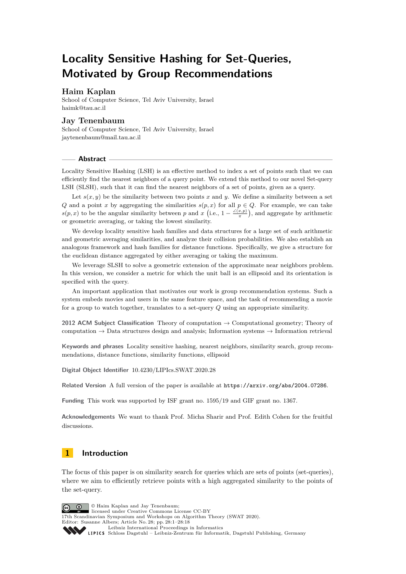# **Locality Sensitive Hashing for Set-Queries, Motivated by Group Recommendations**

### **Haim Kaplan**

School of Computer Science, Tel Aviv University, Israel [haimk@tau.ac.il](mailto:haimk@tau.ac.il)

### **Jay Tenenbaum**

School of Computer Science, Tel Aviv University, Israel [jaytenenbaum@mail.tau.ac.il](mailto:jaytenenbaum@mail.tau.ac.il)

#### **Abstract**

Locality Sensitive Hashing (LSH) is an effective method to index a set of points such that we can efficiently find the nearest neighbors of a query point. We extend this method to our novel Set-query LSH (SLSH), such that it can find the nearest neighbors of a set of points, given as a query.

Let  $s(x, y)$  be the similarity between two points x and y. We define a similarity between a set *Q* and a point *x* by aggregating the similarities  $s(p, x)$  for all  $p \in Q$ . For example, we can take  $s(p, x)$  to be the angular similarity between *p* and *x* (i.e.,  $1 - \frac{\angle(x, p)}{\pi}$ ), and aggregate by arithmetic or geometric averaging, or taking the lowest similarity.

We develop locality sensitive hash families and data structures for a large set of such arithmetic and geometric averaging similarities, and analyze their collision probabilities. We also establish an analogous framework and hash families for distance functions. Specifically, we give a structure for the euclidean distance aggregated by either averaging or taking the maximum.

We leverage SLSH to solve a geometric extension of the approximate near neighbors problem. In this version, we consider a metric for which the unit ball is an ellipsoid and its orientation is specified with the query.

An important application that motivates our work is group recommendation systems. Such a system embeds movies and users in the same feature space, and the task of recommending a movie for a group to watch together, translates to a set-query *Q* using an appropriate similarity.

**2012 ACM Subject Classification** Theory of computation → Computational geometry; Theory of computation  $\rightarrow$  Data structures design and analysis; Information systems  $\rightarrow$  Information retrieval

**Keywords and phrases** Locality sensitive hashing, nearest neighbors, similarity search, group recommendations, distance functions, similarity functions, ellipsoid

**Digital Object Identifier** [10.4230/LIPIcs.SWAT.2020.28](https://doi.org/10.4230/LIPIcs.SWAT.2020.28)

**Related Version** A full version of the paper is available at <https://arxiv.org/abs/2004.07286>.

**Funding** This work was supported by ISF grant no. 1595/19 and GIF grant no. 1367.

**Acknowledgements** We want to thank Prof. Micha Sharir and Prof. Edith Cohen for the fruitful discussions.

## **1 Introduction**

The focus of this paper is on similarity search for queries which are sets of points (set-queries), where we aim to efficiently retrieve points with a high aggregated similarity to the points of the set-query.

© Haim Kaplan and Jay Tenenbaum; licensed under Creative Commons License CC-BY 17th Scandinavian Symposium and Workshops on Algorithm Theory (SWAT 2020). Editor: Susanne Albers; Article No. 28; pp. 28:1–28[:18](#page-17-0) [Leibniz International Proceedings in Informatics](https://www.dagstuhl.de/lipics/) Leibniz international riveredings in miximetrix<br>
LIPICS [Schloss Dagstuhl – Leibniz-Zentrum für Informatik, Dagstuhl Publishing, Germany](https://www.dagstuhl.de)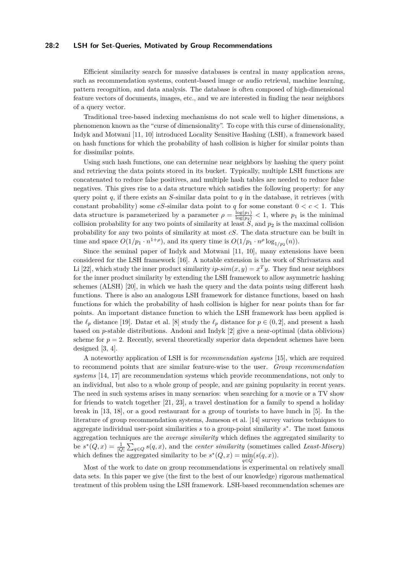### **28:2 LSH for Set-Queries, Motivated by Group Recommendations**

Efficient similarity search for massive databases is central in many application areas, such as recommendation systems, content-based image or audio retrieval, machine learning, pattern recognition, and data analysis. The database is often composed of high-dimensional feature vectors of documents, images, etc., and we are interested in finding the near neighbors of a query vector.

Traditional tree-based indexing mechanisms do not scale well to higher dimensions, a phenomenon known as the "curse of dimensionality". To cope with this curse of dimensionality, Indyk and Motwani [\[11,](#page-12-0) [10\]](#page-11-0) introduced Locality Sensitive Hashing (LSH), a framework based on hash functions for which the probability of hash collision is higher for similar points than for dissimilar points.

Using such hash functions, one can determine near neighbors by hashing the query point and retrieving the data points stored in its bucket. Typically, multiple LSH functions are concatenated to reduce false positives, and multiple hash tables are needed to reduce false negatives. This gives rise to a data structure which satisfies the following property: for any query point  $q$ , if there exists an *S*-similar data point to  $q$  in the database, it retrieves (with constant probability) some *cS*-similar data point to *q* for some constant  $0 < c < 1$ . This data structure is parameterized by a parameter  $\rho = \frac{\log(p_1)}{\log(p_2)} < 1$ , where  $p_1$  is the minimal collision probability for any two points of similarity at least  $S$ , and  $p_2$  is the maximal collision probability for any two points of similarity at most *cS*. The data structure can be built in time and space  $O(1/p_1 \cdot n^{1+\rho})$ , and its query time is  $O(1/p_1 \cdot n^{\rho} \log_{1/p_2}(n))$ .

Since the seminal paper of Indyk and Motwani [\[11,](#page-12-0) [10\]](#page-11-0), many extensions have been considered for the LSH framework [\[16\]](#page-12-1). A notable extension is the work of Shrivastava and Li [\[22\]](#page-12-2), which study the inner product similarity  $ip\text{-}sim(x, y) = x^T y$ . They find near neighbors for the inner product similarity by extending the LSH framework to allow asymmetric hashing schemes (ALSH) [\[20\]](#page-12-3), in which we hash the query and the data points using different hash functions. There is also an analogous LSH framework for distance functions, based on hash functions for which the probability of hash collision is higher for near points than for far points. An important distance function to which the LSH framework has been applied is the  $\ell_p$  distance [\[19\]](#page-12-4). Datar et al. [\[8\]](#page-11-1) study the  $\ell_p$  distance for  $p \in (0, 2]$ , and present a hash based on *p*-stable distributions. Andoni and Indyk [\[2\]](#page-11-2) give a near-optimal (data oblivious) scheme for  $p = 2$ . Recently, several theoretically superior data dependent schemes have been designed [\[3,](#page-11-3) [4\]](#page-11-4).

A noteworthy application of LSH is for *recommendation systems* [\[15\]](#page-12-5), which are required to recommend points that are similar feature-wise to the user. *Group recommendation systems* [\[14,](#page-12-6) [17\]](#page-12-7) are recommendation systems which provide recommendations, not only to an individual, but also to a whole group of people, and are gaining popularity in recent years. The need in such systems arises in many scenarios: when searching for a movie or a TV show for friends to watch together [\[21,](#page-12-8) [23\]](#page-12-9), a travel destination for a family to spend a holiday break in [\[13,](#page-12-10) [18\]](#page-12-11), or a good restaurant for a group of tourists to have lunch in [\[5\]](#page-11-5). In the literature of group recommendation systems, Jameson et al. [\[14\]](#page-12-6) survey various techniques to aggregate individual user-point similarities *s* to a group-point similarity *s* ∗ . The most famous aggregation techniques are the *average similarity* which defines the aggregated similarity to be  $s^*(Q, x) = \frac{1}{|Q|} \sum_{q \in Q} s(q, x)$ , and the *center similarity* (sometimes called *Least-Misery*) which defines the aggregated similarity to be  $s^*(Q, x) = \min_{q \in Q} (s(q, x)).$ 

Most of the work to date on group recommendations is experimental on relatively small data sets. In this paper we give (the first to the best of our knowledge) rigorous mathematical treatment of this problem using the LSH framework. LSH-based recommendation schemes are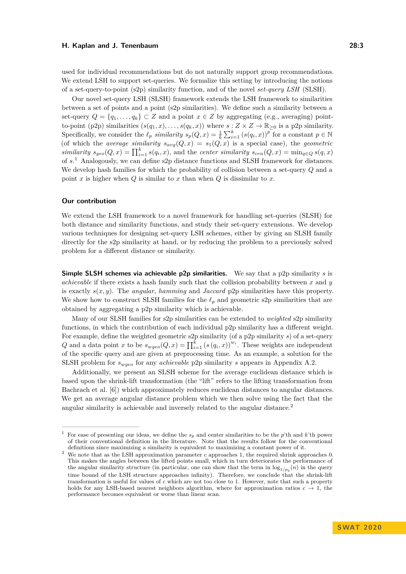used for individual recommendations but do not naturally support group recommendations. We extend LSH to support set-queries. We formalize this setting by introducing the notions of a set-query-to-point (s2p) similarity function, and of the novel *set-query LSH* (SLSH).

Our novel set-query LSH (SLSH) framework extends the LSH framework to similarities between a set of points and a point (s2p similarities). We define such a similarity between a set-query  $Q = \{q_1, \ldots, q_k\} \subset Z$  and a point  $x \in Z$  by aggregating (e.g., averaging) pointto-point (p2p) similarities  $(s(q_1, x), \ldots, s(q_k, x))$  where  $s : Z \times Z \to \mathbb{R}_{\geq 0}$  is a p2p similarity. Specifically, we consider the  $\ell_p$  *similarity*  $s_p(Q, x) = \frac{1}{k} \sum_{i=1}^k (s(q_i, x))^p$  for a constant  $p \in \mathbb{N}$ (of which the *average similarity*  $s_{avg}(Q, x) = s_1(Q, x)$  is a special case), the *geometric similarity*  $s_{geo}(Q, x) = \prod_{i=1}^{k} s(q_i, x)$ , and the *center similarity*  $s_{cen}(Q, x) = \min_{q \in Q} s(q, x)$ of *s*. [1](#page-2-0) Analogously, we can define s2p distance functions and SLSH framework for distances. We develop hash families for which the probability of collision between a set-query *Q* and a point  $x$  is higher when  $Q$  is similar to  $x$  than when  $Q$  is dissimilar to  $x$ .

#### **Our contribution**

We extend the LSH framework to a novel framework for handling set-queries (SLSH) for both distance and similarity functions, and study their set-query extensions. We develop various techniques for designing set-query LSH schemes, either by giving an SLSH family directly for the s2p similarity at hand, or by reducing the problem to a previously solved problem for a different distance or similarity.

**Simple SLSH schemes via achievable p2p similarities.** We say that a p2p similarity *s* is *achievable* if there exists a hash family such that the collision probability between *x* and *y* is exactly *s*(*x, y*). The *angular*, *hamming* and *Jaccard* p2p similarities have this property. We show how to construct SLSH families for the  $\ell_p$  and geometric s2p similarities that are obtained by aggregating a p2p similarity which is achievable.

Many of our SLSH families for s2p similarities can be extended to *weighted* s2p similarity functions, in which the contribution of each individual p2p similarity has a different weight. For example, define the weighted geometric s2p similarity (of a p2p similarity *s*) of a set-query *Q* and a data point *x* to be  $s_{wgeo}(Q, x) = \prod_{i=1}^{k} (s(q_i, x))^{w_i}$ . These weights are independent of the specific query and are given at preprocessing time. As an example, a solution for the SLSH problem for *swgeo* for any *achievable* p2p similarity *s* appears in Appendix [A.2.](#page-13-0)

Additionally, we present an SLSH scheme for the average euclidean distance which is based upon the shrink-lift transformation (the "lift" refers to the lifting transformation from Bachrach et al. [\[6\]](#page-11-6)) which approximately reduces euclidean distances to angular distances. We get an average angular distance problem which we then solve using the fact that the angular similarity is achievable and inversely related to the angular distance.[2](#page-2-1)

<span id="page-2-0"></span><sup>1</sup> For ease of presenting our ideas, we define the *s<sup>p</sup>* and center similarities to be the *p*'th and *k*'th power of their conventional definition in the literature. Note that the results follow for the conventional definitions since maximizing a similarity is equivalent to maximizing a constant power of it.

<span id="page-2-1"></span><sup>&</sup>lt;sup>2</sup> We note that as the LSH approximation parameter *c* approaches 1, the required shrink approaches 0. This makes the angles between the lifted points small, which in turn deteriorates the performance of the angular similarity structure (in particular, one can show that the term in  $\log_{1/p_2}(n)$  in the query time bound of the LSH structure approaches infinity). Therefore, we conclude that the shrink-lift transformation is useful for values of *c* which are not too close to 1. However, note that such a property holds for any LSH-based nearest neighbors algorithm, where for approximation ratios  $c \to 1$ , the performance becomes equivalent or worse than linear scan.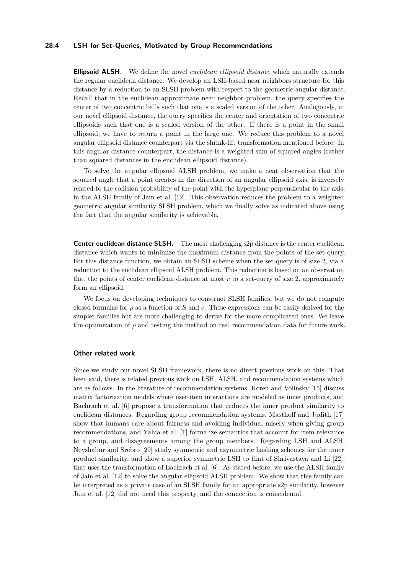### **28:4 LSH for Set-Queries, Motivated by Group Recommendations**

**Ellipsoid ALSH.** We define the novel *euclidean ellipsoid distance* which naturally extends the regular euclidean distance. We develop an LSH-based near neighbors structure for this distance by a reduction to an SLSH problem with respect to the geometric angular distance. Recall that in the euclidean approximate near neighbor problem, the query specifies the center of two concentric balls such that one is a scaled version of the other. Analogously, in our novel ellipsoid distance, the query specifies the center and orientation of two concentric ellipsoids such that one is a scaled version of the other. If there is a point in the small ellipsoid, we have to return a point in the large one. We reduce this problem to a novel angular ellipsoid distance counterpart via the shrink-lift transformation mentioned before. In this angular distance counterpart, the distance is a weighted sum of squared angles (rather than squared distances in the euclidean ellipsoid distance).

To solve the angular ellipsoid ALSH problem, we make a neat observation that the squared angle that a point creates in the direction of an angular ellipsoid axis, is inversely related to the collision probability of the point with the hyperplane perpendicular to the axis, in the ALSH family of Jain et al. [\[12\]](#page-12-12). This observation reduces the problem to a weighted geometric angular similarity SLSH problem, which we finally solve as indicated above using the fact that the angular similarity is achievable.

**Center euclidean distance SLSH.** The most challenging s2p distance is the center euclidean distance which wants to minimize the maximum distance from the points of the set-query. For this distance function, we obtain an SLSH scheme when the set-query is of size 2, via a reduction to the euclidean ellipsoid ALSH problem. This reduction is based on an observation that the points of center euclidean distance at most  $r$  to a set-query of size 2, approximately form an ellipsoid.

We focus on developing techniques to construct SLSH families, but we do not compute closed formulas for *ρ* as a function of *S* and *c*. These expressions can be easily derived for the simpler families but are more challenging to derive for the more complicated ones. We leave the optimization of *ρ* and testing the method on real recommendation data for future work.

#### **Other related work**

Since we study our novel SLSH framework, there is no direct previous work on this. That been said, there is related previous work on LSH, ALSH, and recommendation systems which are as follows. In the literature of recommendation systems, Koren and Volinsky [\[15\]](#page-12-5) discuss matrix factorization models where user-item interactions are modeled as inner products, and Bachrach et al. [\[6\]](#page-11-6) propose a transformation that reduces the inner product similarity to euclidean distances. Regarding group recommendation systems, Masthoff and Judith [\[17\]](#page-12-7) show that humans care about fairness and avoiding individual misery when giving group recommendations, and Yahia et al. [\[1\]](#page-11-7) formalize semantics that account for item relevance to a group, and disagreements among the group members. Regarding LSH and ALSH, Neyshabur and Srebro [\[20\]](#page-12-3) study symmetric and asymmetric hashing schemes for the inner product similarity, and show a superior symmetric LSH to that of Shrivastava and Li [\[22\]](#page-12-2), that uses the transformation of Bachrach et al. [\[6\]](#page-11-6). As stated before, we use the ALSH family of Jain et al. [\[12\]](#page-12-12) to solve the angular ellipsoid ALSH problem. We show that this family can be interpreted as a private case of an SLSH family for an appropriate s2p similarity, however Jain et al. [\[12\]](#page-12-12) did not need this property, and the connection is coincidental.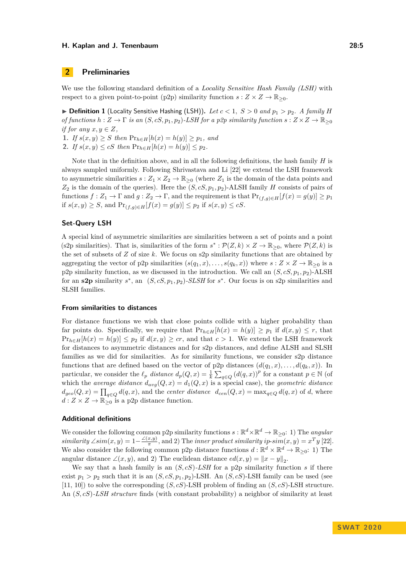### **2 Preliminaries**

We use the following standard definition of a *Locality Sensitive Hash Family (LSH)* with respect to a given point-to-point (p2p) similarity function  $s: Z \times Z \to \mathbb{R}_{\geq 0}$ .

 $\triangleright$  **Definition 1** (Locality Sensitive Hashing (LSH)). Let  $c < 1$ ,  $S > 0$  and  $p_1 > p_2$ . A family *H of functions*  $h: Z \to \Gamma$  *is an*  $(S, cS, p_1, p_2)$ *-LSH for a p2p similarity function*  $s: Z \times Z \to \mathbb{R}_{\geq 0}$ *if for any*  $x, y \in Z$ *,* 

**1.** *If*  $s(x, y) \geq S$  *then*  $Pr_{h \in H}[h(x) = h(y)] \geq p_1$ *, and* 

**2.** *If*  $s(x, y) \le cS$  *then*  $Pr_{h \in H}[h(x) = h(y)] \le p_2$ .

Note that in the definition above, and in all the following definitions, the hash family *H* is always sampled uniformly. Following Shrivastava and Li [\[22\]](#page-12-2) we extend the LSH framework to asymmetric similarities  $s: Z_1 \times Z_2 \to \mathbb{R}_{\geq 0}$  (where  $Z_1$  is the domain of the data points and  $Z_2$  is the domain of the queries). Here the  $(S, cS, p_1, p_2)$ -ALSH family *H* consists of pairs of functions  $f: Z_1 \to \Gamma$  and  $g: Z_2 \to \Gamma$ , and the requirement is that  $Pr_{(f,g)\in H}[f(x) = g(y)] \geq p_1$ if *s*(*x, y*) ≥ *S*, and  $Pr_{(f,q) ∈ H}[f(x) = g(y)] ≤ p_2$  if *s*(*x, y*) ≤ *cS*.

#### **Set-Query LSH**

A special kind of asymmetric similarities are similarities between a set of points and a point (s2p similarities). That is, similarities of the form  $s^*: \mathcal{P}(Z,k) \times Z \to \mathbb{R}_{\geq 0}$ , where  $\mathcal{P}(Z,k)$  is the set of subsets of *Z* of size *k*. We focus on s2p similarity functions that are obtained by aggregating the vector of p2p similarities  $(s(q_1, x), \ldots, s(q_k, x))$  where  $s : Z \times Z \to \mathbb{R}_{\geq 0}$  is a p2p similarity function, as we discussed in the introduction. We call an  $(S, cS, p_1, p_2)$ -ALSH for an **s2p** similarity  $s^*$ , an  $(S, cS, p_1, p_2)$ -SLSH for  $s^*$ . Our focus is on s2p similarities and SLSH families.

#### **From similarities to distances**

For distance functions we wish that close points collide with a higher probability than far points do. Specifically, we require that  $Pr_{h\in H}[h(x) = h(y)] \geq p_1$  if  $d(x, y) \leq r$ , that  $Pr_{h \in H}[h(x) = h(y)] \leq p_2$  if  $d(x, y) \geq cr$ , and that  $c > 1$ . We extend the LSH framework for distances to asymmetric distances and for s2p distances, and define ALSH and SLSH families as we did for similarities. As for similarity functions, we consider s2p distance functions that are defined based on the vector of p2p distances  $(d(q_1, x), \ldots, d(q_k, x))$ . In particular, we consider the  $\ell_p$  *distance*  $d_p(Q, x) = \frac{1}{k} \sum_{q \in Q} (d(q, x))^p$  for a constant  $p \in \mathbb{N}$  (of which the *average distance*  $d_{avg}(Q, x) = d_1(Q, x)$  is a special case), the *geometric distance*  $d_{geo}(Q, x) = \prod_{q \in Q} d(q, x)$ , and the *center distance*  $d_{cen}(Q, x) = \max_{q \in Q} d(q, x)$  of *d*, where  $d: Z \times Z \to \mathbb{R}_{\geq 0}$  is a p2p distance function.

### **Additional definitions**

We consider the following common p2p similarity functions  $s : \mathbb{R}^d \times \mathbb{R}^d \to \mathbb{R}_{\geq 0}:$  1) The *angular similarity* ∠*sim*(*x*, *y*) =  $1-\frac{∠(x,y)}{x}$  $\frac{x,y}{\pi}$ , and 2) The *inner product similarity ip-sim(x, y)* =  $x^T y$  [\[22\]](#page-12-2). We also consider the following common p2p distance functions  $d : \mathbb{R}^d \times \mathbb{R}^d \to \mathbb{R}_{\geq 0}:$  1) The angular distance  $\angle(x, y)$ , and 2) The euclidean distance  $ed(x, y) = ||x - y||_2$ .

We say that a hash family is an  $(S, cS)$ -LSH for a p2p similarity function *s* if there exist  $p_1 > p_2$  such that it is an  $(S, cS, p_1, p_2)$ -LSH. An  $(S, cS)$ -LSH family can be used (see [\[11,](#page-12-0) [10\]](#page-11-0)) to solve the corresponding (*S, cS*)-LSH problem of finding an (*S, cS*)-LSH structure. An (*S, cS*)*-LSH structure* finds (with constant probability) a neighbor of similarity at least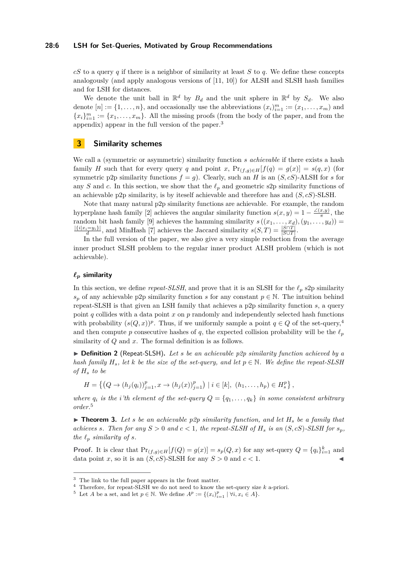### **28:6 LSH for Set-Queries, Motivated by Group Recommendations**

*cS* to a query *q* if there is a neighbor of similarity at least *S* to *q*. We define these concepts analogously (and apply analogous versions of [\[11,](#page-12-0) [10\]](#page-11-0)) for ALSH and SLSH hash families and for LSH for distances.

We denote the unit ball in  $\mathbb{R}^d$  by  $B_d$  and the unit sphere in  $\mathbb{R}^d$  by  $S_d$ . We also denote  $[n] := \{1, \ldots, n\}$ , and occasionally use the abbreviations  $(x_i)_{i=1}^m := (x_1, \ldots, x_m)$  and  ${x_i}_{i=1}^m := {x_1, \ldots, x_m}$ . All the missing proofs (from the body of the paper, and from the appendix) appear in the full version of the paper.[3](#page-5-0)

### <span id="page-5-4"></span>**3 Similarity schemes**

We call a (symmetric or asymmetric) similarity function *s achievable* if there exists a hash family *H* such that for every query *q* and point *x*,  $Pr_{(f,g)\in H}[f(q) = g(x)] = s(q,x)$  (for symmetric p2p similarity functions  $f = g$ ). Clearly, such an *H* is an  $(S, cS)$ -ALSH for *s* for any *S* and *c*. In this section, we show that the  $\ell_p$  and geometric s2p similarity functions of an achievable p2p similarity, is by iteself achievable and therefore has and (*S, cS*)-SLSH.

Note that many natural p2p similarity functions are achievable. For example, the random hyperplane hash family [\[2\]](#page-11-2) achieves the angular similarity function  $s(x, y) = 1 - \frac{\angle(x, y)}{\pi}$  $\frac{x,y_j}{\pi}$ , the random bit hash family [\[9\]](#page-11-8) achieves the hamming similarity  $s((x_1, \ldots, x_d), (y_1, \ldots, y_d)) =$  $\frac{|{i|x_i=y_i|}}{d}$ , and MinHash [\[7\]](#page-11-9) achieves the Jaccard similarity  $s(S,T) = \frac{|S \cap T|}{|S \cup T|}$ .

In the full version of the paper, we also give a very simple reduction from the average inner product SLSH problem to the regular inner product ALSH problem (which is not achievable).

### $\ell_p$  similarity

In this section, we define *repeat-SLSH*, and prove that it is an SLSH for the  $\ell_p$  s2p similarity  $s_p$  of any achievable p2p similarity function *s* for any constant  $p \in \mathbb{N}$ . The intuition behind repeat-SLSH is that given an LSH family that achieves a p2p similarity function *s*, a query point *q* collides with a data point *x* on *p* randomly and independently selected hash functions with probability  $(s(Q, x))^p$ . Thus, if we uniformly sample a point  $q \in Q$  of the set-query,<sup>[4](#page-5-1)</sup> and then compute p consecutive hashes of q, the expected collision probability will be the  $\ell_p$ similarity of *Q* and *x*. The formal definition is as follows.

I **Definition 2** (Repeat-SLSH)**.** *Let s be an achievable p2p similarity function achieved by a hash family*  $H_s$ , let *k* be the size of the set-query, and let  $p \in \mathbb{N}$ . We define the repeat-SLSH *of H<sup>s</sup> to be*

$$
H = \left\{ \left(Q \to (h_j(q_i))_{j=1}^p, x \to (h_j(x))_{j=1}^p \right) \mid i \in [k], \ (h_1, \dots, h_p) \in H_s^p \right\},\
$$

*where*  $q_i$  *is the i*<sup>'th</sup> element of the set-query  $Q = \{q_1, \ldots, q_k\}$  in some consistent arbitrary *order.*[5](#page-5-2)

<span id="page-5-3"></span> $\triangleright$  **Theorem 3.** Let *s* be an achievable p2p similarity function, and let  $H_s$  be a family that *achieves s. Then for any*  $S > 0$  *and*  $c < 1$ *, the repeat-SLSH* of  $H_s$  *is an*  $(S, cS)$ *-SLSH* for  $s_p$ *, the*  $\ell_p$  *similarity of s.* 

**Proof.** It is clear that  $\Pr_{(f,g)\in H}[f(Q) = g(x)] = s_p(Q,x)$  for any set-query  $Q = \{q_i\}_{i=1}^k$  and data point *x*, so it is an  $(S, cS)$ -SLSH for any  $S > 0$  and  $c < 1$ .

<span id="page-5-0"></span><sup>3</sup> The link to the full paper appears in the front matter.

<span id="page-5-1"></span><sup>4</sup> Therefore, for repeat-SLSH we do not need to know the set-query size *k* a-priori.

<span id="page-5-2"></span><sup>&</sup>lt;sup>5</sup> Let *A* be a set, and let  $p \in \mathbb{N}$ . We define  $A^p := \{(x_i)_{i=1}^p \mid \forall i, x_i \in A\}$ .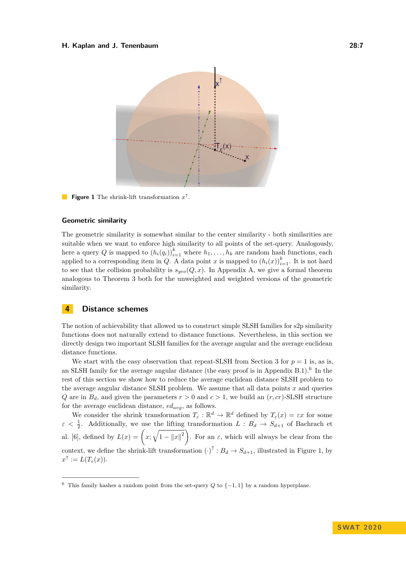<span id="page-6-1"></span>

 $\mathcal{L}(\mathcal{C})$ **Figure 1** The shrink-lift transformation  $x^{\uparrow}$ .

### **Geometric similarity**

The geometric similarity is somewhat similar to the center similarity - both similarities are suitable when we want to enforce high similarity to all points of the set-query. Analogously, here a query *Q* is mapped to  $(h_i(q_i))_{i=1}^k$  where  $h_1, \ldots, h_k$  are random hash functions, each applied to a corresponding item in *Q*. A data point *x* is mapped to  $(h_i(x))_{i=1}^k$ . It is not hard to see that the collision probability is  $s_{geo}(Q, x)$ . In Appendix [A,](#page-12-13) we give a formal theorem analogous to Theorem [3](#page-5-3) both for the unweighted and weighted versions of the geometric similarity.

### <span id="page-6-2"></span>**4 Distance schemes**

The notion of achievability that allowed us to construct simple SLSH families for s2p similarity functions does not naturally extend to distance functions. Nevertheless, in this section we directly design two important SLSH families for the average angular and the average euclidean distance functions.

We start with the easy observation that repeat-SLSH from Section [3](#page-5-4) for  $p = 1$  is, as is, an SLSH family for the average angular distance (the easy proof is in Appendix [B.1\)](#page-14-0).<sup>[6](#page-6-0)</sup> In the rest of this section we show how to reduce the average euclidean distance SLSH problem to the average angular distance SLSH problem. We assume that all data points *x* and queries *Q* are in  $B_d$ , and given the parameters  $r > 0$  and  $c > 1$ , we build an  $(r, cr)$ -SLSH structure for the average euclidean distance, *edavg*, as follows.

We consider the shrink transformation  $T_{\varepsilon}: \mathbb{R}^d \to \mathbb{R}^d$  defined by  $T_{\varepsilon}(x) = \varepsilon x$  for some  $\varepsilon < \frac{1}{2}$ . Additionally, we use the lifting transformation *L* :  $B_d \rightarrow S_{d+1}$  of Bachrach et al. [\[6\]](#page-11-6), defined by  $L(x) = \left(x; \sqrt{1 - ||x||^2}\right)$ . For an  $\varepsilon$ , which will always be clear from the context, we define the shrink-lift transformation  $(\cdot)^{\uparrow}$  :  $B_d \to S_{d+1}$ , illustrated in Figure [1,](#page-6-1) by  $x^{\uparrow} := L(T_{\varepsilon}(x)).$ 

<span id="page-6-0"></span><sup>&</sup>lt;sup>6</sup> This family hashes a random point from the set-query *Q* to  $\{-1,1\}$  by a random hyperplane.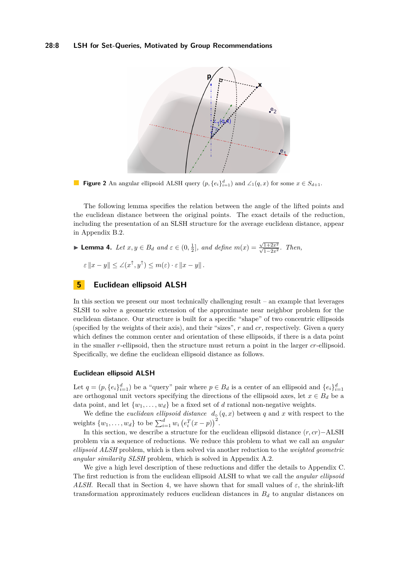### <span id="page-7-0"></span>**28:8 LSH for Set-Queries, Motivated by Group Recommendations**



**Figure 2** An angular ellipsoid ALSH query  $(p, \{e_i\}_{i=1}^d)$  and  $\angle_1(q, x)$  for some  $x \in S_{d+1}$ .

The following lemma specifies the relation between the angle of the lifted points and the euclidean distance between the original points. The exact details of the reduction, including the presentation of an SLSH structure for the average euclidean distance, appear in Appendix [B.2.](#page-14-1)

$$
\blacktriangleright \textbf{Lemma 4. } Let \ x, y \in B_d \ and \ \varepsilon \in (0, \frac{1}{2}], \ and \ define \ m(x) = \frac{\sqrt{1+2x^2}}{\sqrt{1-2x^2}}. \ Then,
$$

 $\epsilon \|x - y\| \leq \angle(x^{\uparrow}, y^{\uparrow}) \leq m(\epsilon) \cdot \epsilon \|x - y\|$ .

### <span id="page-7-1"></span>**5 Euclidean ellipsoid ALSH**

In this section we present our most technically challenging result – an example that leverages SLSH to solve a geometric extension of the approximate near neighbor problem for the euclidean distance. Our structure is built for a specific "shape" of two concentric ellipsoids (specified by the weights of their axis), and their "sizes", *r* and *cr*, respectively. Given a query which defines the common center and orientation of these ellipsoids, if there is a data point in the smaller *r*-ellipsoid, then the structure must return a point in the larger *cr*-ellipsoid. Specifically, we define the euclidean ellipsoid distance as follows.

### **Euclidean ellipsoid ALSH**

Let  $q = (p, \{e_i\}_{i=1}^d)$  be a "query" pair where  $p \in B_d$  is a center of an ellipsoid and  $\{e_i\}_{i=1}^d$ are orthogonal unit vectors specifying the directions of the ellipsoid axes, let  $x \in B_d$  be a data point, and let  $\{w_1, \ldots, w_d\}$  be a fixed set of *d* rational non-negative weights.

We define the *euclidean ellipsoid distance*  $d_{\circ}(q, x)$  between q and x with respect to the weights  $\{w_1, \ldots, w_d\}$  to be  $\sum_{i=1}^d w_i (e_i^T(x - p))^2$ .

In this section, we describe a structure for the euclidean ellipsoid distance (*r, cr*)−ALSH problem via a sequence of reductions. We reduce this problem to what we call an *angular ellipsoid ALSH* problem, which is then solved via another reduction to the *weighted geometric angular similarity SLSH* problem, which is solved in Appendix [A.2.](#page-13-0)

We give a high level description of these reductions and differ the details to Appendix [C.](#page-15-0) The first reduction is from the euclidean ellipsoid ALSH to what we call the *angular ellipsoid ALSH*. Recall that in Section [4,](#page-6-2) we have shown that for small values of  $\varepsilon$ , the shrink-lift transformation approximately reduces euclidean distances in  $B_d$  to angular distances on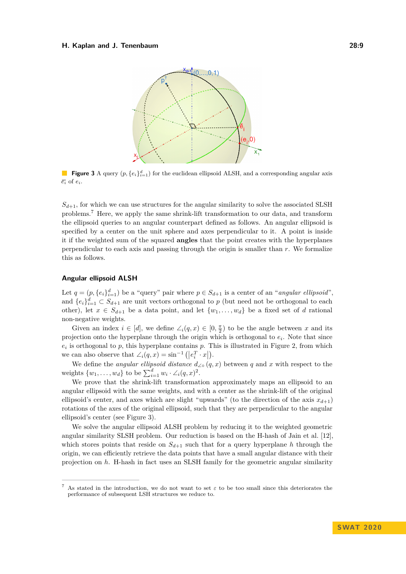<span id="page-8-1"></span>

**Figure 3** A query  $(p, \{e_i\}_{i=1}^d)$  for the euclidean ellipsoid ALSH, and a corresponding angular axis  $\overline{e_i}$  of  $e_i$ .

 $S_{d+1}$ , for which we can use structures for the angular similarity to solve the associated SLSH problems.[7](#page-8-0) Here, we apply the same shrink-lift transformation to our data, and transform the ellipsoid queries to an angular counterpart defined as follows. An angular ellipsoid is specified by a center on the unit sphere and axes perpendicular to it. A point is inside it if the weighted sum of the squared **angles** that the point creates with the hyperplanes perpendicular to each axis and passing through the origin is smaller than *r*. We formalize this as follows.

### **Angular ellipsoid ALSH**

Let  $q = (p, \{e_i\}_{i=1}^d)$  be a "query" pair where  $p \in S_{d+1}$  is a center of an "*angular ellipsoid*", and  ${e_i}_{i=1}^d \subset S_{d+1}$  are unit vectors orthogonal to *p* (but need not be orthogonal to each other), let  $x \in S_{d+1}$  be a data point, and let  $\{w_1, \ldots, w_d\}$  be a fixed set of *d* rational non-negative weights.

Given an index  $i \in [d]$ , we define  $\angle_i(q, x) \in [0, \frac{\pi}{2})$  to be the angle between x and its projection onto the hyperplane through the origin which is orthogonal to *e<sup>i</sup>* . Note that since  $e_i$  is orthogonal to  $p$ , this hyperplane contains  $p$ . This is illustrated in Figure [2,](#page-7-0) from which we can also observe that  $\angle_i(q, x) = \sin^{-1} (|e_i^T \cdot x|)$ .

We define the *angular ellipsoid distance*  $d_{\angle} \circ (q, x)$  between q and x with respect to the weights  $\{w_1, \ldots, w_d\}$  to be  $\sum_{i=1}^d w_i \cdot \angle_i(q, x)^2$ .

We prove that the shrink-lift transformation approximately maps an ellipsoid to an angular ellipsoid with the same weights, and with a center as the shrink-lift of the original ellipsoid's center, and axes which are slight "upwards" (to the direction of the axis  $x_{d+1}$ ) rotations of the axes of the original ellipsoid, such that they are perpendicular to the angular ellipsoid's center (see Figure [3\)](#page-8-1).

We solve the angular ellipsoid ALSH problem by reducing it to the weighted geometric angular similarity SLSH problem. Our reduction is based on the H-hash of Jain et al. [\[12\]](#page-12-12), which stores points that reside on  $S_{d+1}$  such that for a query hyperplane *h* through the origin, we can efficiently retrieve the data points that have a small angular distance with their projection on *h*. H-hash in fact uses an SLSH family for the geometric angular similarity

<span id="page-8-0"></span><sup>7</sup> As stated in the introduction, we do not want to set *ε* to be too small since this deteriorates the performance of subsequent LSH structures we reduce to.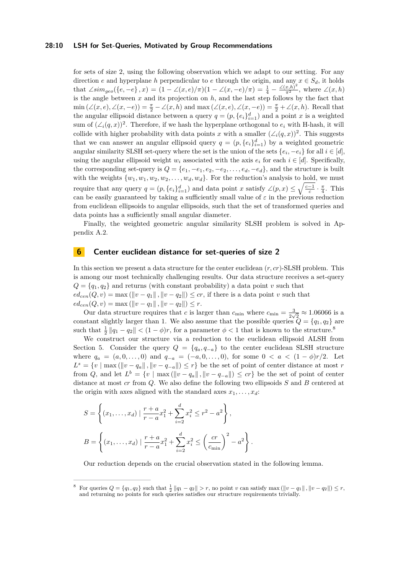### **28:10 LSH for Set-Queries, Motivated by Group Recommendations**

for sets of size 2, using the following observation which we adapt to our setting. For any direction *e* and hyperplane *h* perpendicular to *e* through the origin, and any  $x \in S_d$ , it holds that  $\angle sim_{geo}(\{e,-e\},x) = (1 - \angle(x,e)/\pi)(1 - \angle(x,-e)/\pi) = \frac{1}{4} - \frac{\angle(x,h)^2}{\pi^2}$ , where  $\angle(x,h)$ is the angle between *x* and its projection on *h*, and the last step follows by the fact that  $\min(\angle(x, e), \angle(x, -e)) = \frac{\pi}{2} - \angle(x, h)$  and  $\max(\angle(x, e), \angle(x, -e)) = \frac{\pi}{2} + \angle(x, h)$ . Recall that the angular ellipsoid distance between a query  $q = (p, \{e_i\}_{i=1}^d)$  and a point *x* is a weighted sum of  $(\angle_i(q, x))^2$ . Therefore, if we hash the hyperplane orthogonal to  $e_i$  with H-hash, it will collide with higher probability with data points *x* with a smaller  $(\angle_i(q, x))^2$ . This suggests that we can answer an angular ellipsoid query  $q = (p, \{e_i\}_{i=1}^d)$  by a weighted geometric angular similarity SLSH set-query where the set is the union of the sets  $\{e_i, -e_i\}$  for all  $i \in [d]$ , using the angular ellipsoid weight  $w_i$  associated with the axis  $e_i$  for each  $i \in [d]$ . Specifically, the corresponding set-query is  $Q = \{e_1, -e_1, e_2, -e_2, \ldots, e_d, -e_d\}$ , and the structure is built with the weights  $\{w_1, w_1, w_2, w_2, \ldots, w_d, w_d\}$ . For the reduction's analysis to hold, we must require that any query  $q = (p, \{e_i\}_{i=1}^d)$  and data point *x* satisfy  $\angle(p, x) \leq \sqrt{\frac{c-1}{c}} \cdot \frac{\pi}{4}$ . This can be easily guaranteed by taking a sufficiently small value of  $\varepsilon$  in the previous reduction from euclidean ellipsoids to angular ellipsoids, such that the set of transformed queries and data points has a sufficiently small angular diameter.

Finally, the weighted geometric angular similarity SLSH problem is solved in Appendix [A.2.](#page-13-0)

### <span id="page-9-1"></span>**6 Center euclidean distance for set-queries of size 2**

In this section we present a data structure for the center euclidean (*r, cr*)-SLSH problem. This is among our most technically challenging results. Our data structure receives a set-query  $Q = \{q_1, q_2\}$  and returns (with constant probability) a data point *v* such that  $ed_{cen}(Q, v) = \max (||v - q_1||, ||v - q_2||) \leq cr$ , if there is a data point *v* such that  $ed_{cen}(Q, v) = \max (||v - q_1||, ||v - q_2||) \leq r.$ 

Our data structure requires that *c* is larger than  $c_{\min}$  where  $c_{\min} = \frac{3}{2}$  $\frac{3}{2\sqrt{2}} \approx 1.06066$  is a constant slightly larger than 1. We also assume that the possible queries  $Q = \{q_1, q_2\}$  are such that  $\frac{1}{2} ||q_1 - q_2|| < (1 - \phi)r$ , for a parameter  $\phi < 1$  that is known to the structure.<sup>[8](#page-9-0)</sup>

We construct our structure via a reduction to the euclidean ellipsoid ALSH from Section [5.](#page-7-1) Consider the query  $Q = \{q_a, q_{-a}\}\$ to the center euclidean SLSH structure where  $q_a = (a, 0, \ldots, 0)$  and  $q_{-a} = (-a, 0, \ldots, 0)$ , for some  $0 < a < (1 - \phi)r/2$ . Let  $L^s = \{v \mid \max(\|v - q_a\|, \|v - q_{-a}\|) \leq r\}$  be the set of point of center distance at most *r* from *Q*, and let  $L^b = \{v \mid \max(\|v - q_a\|, \|v - q_{-a}\|) \leq c r\}$  be the set of point of center distance at most *cr* from *Q*. We also define the following two ellipsoids *S* and *B* centered at the origin with axes aligned with the standard axes  $x_1, \ldots, x_d$ :

$$
S = \left\{ (x_1, \dots, x_d) \mid \frac{r+a}{r-a} x_1^2 + \sum_{i=2}^d x_i^2 \le r^2 - a^2 \right\},
$$
  

$$
B = \left\{ (x_1, \dots, x_d) \mid \frac{r+a}{r-a} x_1^2 + \sum_{i=2}^d x_i^2 \le \left(\frac{cr}{c_{\min}}\right)^2 - a^2 \right\}.
$$

Our reduction depends on the crucial observation stated in the following lemma.

<span id="page-9-0"></span><sup>8</sup> For queries  $Q = \{q_1, q_2\}$  such that  $\frac{1}{2} ||q_1 - q_2|| > r$ , no point *v* can satisfy max  $(||v - q_1||, ||v - q_2||) \le r$ , and returning no points for such queries satisfies our structure requirements trivially.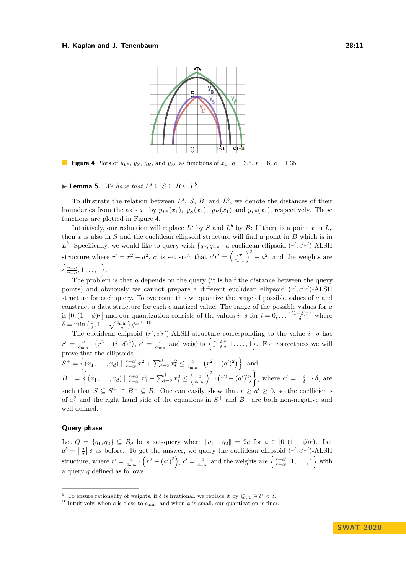<span id="page-10-0"></span>

**Figure 4** Plots of  $y_{L^s}$ ,  $y_S$ ,  $y_B$ , and  $y_{L^b}$  as functions of  $x_1$ .  $a = 3.6$ ,  $r = 6$ ,  $c = 1.35$ .

### ▶ **Lemma 5.** *We have that*  $L^s \subseteq S \subseteq B \subseteq L^b$ .

To illustrate the relation between  $L^s$ , *S*, *B*, and  $L^b$ , we denote the distances of their boundaries from the axis  $x_1$  by  $y_{L^s}(x_1)$ *,*  $y_S(x_1)$ *,*  $y_B(x_1)$  and  $y_{L^b}(x_1)$ *,* respectively. These functions are plotted in Figure [4.](#page-10-0)

Intuitively, our reduction will replace  $L^s$  by *S* and  $L^b$  by *B*: If there is a point *x* in  $L_s$ then *x* is also in *S* and the euclidean ellipsoid structure will find a point in *B* which is in *L*<sup>b</sup>. Specifically, we would like to query with  $\{q_a, q_{-a}\}\$ a euclidean ellipsoid (*r*', *c*'*r*')-ALSH structure where  $r' = r^2 - a^2$ , *c'* is set such that  $c'r' = \left(\frac{cr}{c_{\min}}\right)^2 - a^2$ , and the weights are  $\left\{\frac{r+a}{r-a},1\ldots,1\right\}.$ 

The problem is that *a* depends on the query (it is half the distance between the query points) and obviously we cannot prepare a different euclidean ellipsoid  $(r', c'r')$ -ALSH structure for each query. To overcome this we quantize the range of possible values of *a* and construct a data structure for each quantized value. The range of the possible values for *a* is  $[0, (1 - \phi)r]$  and our quantization consists of the values *i* · *δ* for  $i = 0, \ldots \lceil \frac{(1 - \phi)r}{\delta} \rceil$  $\frac{-\varphi+r}{\delta}$  where  $\delta = \min\left(\frac{1}{2}, 1 - \sqrt{\frac{c_{\min}}{c}}\right) \phi r$ .<sup>[9](#page-10-1),[10](#page-10-2)</sup>

The euclidean ellipsoid  $(r', c'r')$ -ALSH structure corresponding to the value  $i \cdot \delta$  has  $r' = \frac{c}{c_{\min}} \cdot (r^2 - (i \cdot \delta)^2), c' = \frac{c}{c_{\min}}$  and weights  $\left\{ \frac{r + i \cdot \delta}{r - i \cdot \delta}, 1, \dots, 1 \right\}$ . For correctness we will prove that the ellipsoids

 $S^+ = \left\{ (x_1, \ldots, x_d) \mid \frac{r+a'}{r-a'}x_1^2 + \sum_{i=2}^d x_i^2 \le \frac{c}{c_{\min}} \cdot (r^2 - (a')^2) \right\}$  and  $B^{-} = \left\{ (x_1, \ldots, x_d) \mid \frac{r+a'}{r-a'} x_1^2 + \sum_{i=2}^d x_i^2 \leq \left(\frac{c}{c_{\min}}\right)^2 \cdot \left(r^2 - (a')^2\right) \right\}$ , where  $a' = \left\lceil \frac{a}{\delta} \right\rceil \cdot \delta$ , are such that  $S \subseteq S^+ \subset B^- \subseteq B$ . One can easily show that  $r \ge a' \ge 0$ , so the coefficients of  $x_1^2$  and the right hand side of the equations in  $S^+$  and  $B^-$  are both non-negative and well-defined.

### **Query phase**

Let  $Q = \{q_1, q_2\} ⊆ B_d$  be a set-query where  $||q_1 - q_2|| = 2a$  for  $a ∈ [0, (1 − \phi)r)$ . Let  $a' = \left[\frac{a}{\delta}\right] \delta$  as before. To get the answer, we query the euclidean ellipsoid  $(r', c'r')$ -ALSH structure, where  $r' = \frac{c}{c_{\min}} \cdot (r^2 - (a')^2)$ ,  $c' = \frac{c}{c_{\min}}$  and the weights are  $\left\{\frac{r+a'}{r-a'}\right\}$  $\left\{\frac{r+a'}{r-a'}, 1, \ldots, 1\right\}$  with a query *q* defined as follows.

<span id="page-10-1"></span><sup>&</sup>lt;sup>9</sup> To ensure rationality of weights, if  $\delta$  is irrational, we replace it by  $\mathbb{Q}_{>0} \ni \delta' < \delta$ .

<span id="page-10-2"></span><sup>&</sup>lt;sup>10</sup> Intuitively, when *c* is close to  $c_{\text{min}}$ , and when  $\phi$  is small, our quantization is finer.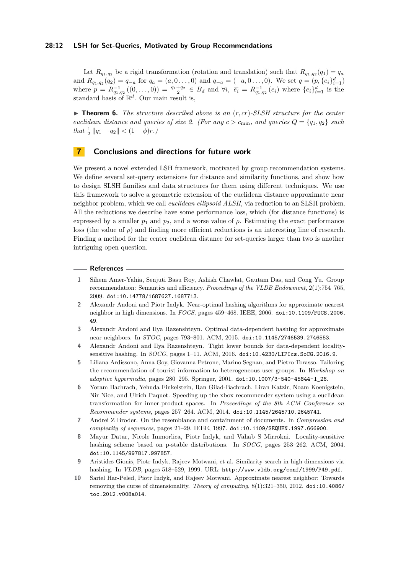### **28:12 LSH for Set-Queries, Motivated by Group Recommendations**

Let  $R_{q_1,q_2}$  be a rigid transformation (rotation and translation) such that  $R_{q_1,q_2}(q_1) = q_a$ and  $R_{q_1,q_2}(q_2) = q_{-a}$  for  $q_a = (a,0...,0)$  and  $q_{-a} = (-a,0...,0)$ . We set  $q = (p, {\bar{\epsilon}_i}_{i=1}^d)$ where  $p = R_{q_1,q_2}^{-1}((0,\ldots,0)) = \frac{q_1+q_2}{2} \in B_d$  and  $\forall i, \ \overline{e_i} = R_{q_1,q_2}^{-1}(e_i)$  where  $\{e_i\}_{i=1}^d$  is the standard basis of  $\mathbb{R}^d$ . Our main result is,

I **Theorem 6.** *The structure described above is an* (*r, cr*)*-SLSH structure for the center euclidean distance and queries of size 2. (For any*  $c > c_{\min}$ *, and queries*  $Q = \{q_1, q_2\}$  *such*  $that \frac{1}{2} ||q_1 - q_2|| < (1 - \phi)r$ *.*)

### **7 Conclusions and directions for future work**

We present a novel extended LSH framework, motivated by group recommendation systems. We define several set-query extensions for distance and similarity functions, and show how to design SLSH families and data structures for them using different techniques. We use this framework to solve a geometric extension of the euclidean distance approximate near neighbor problem, which we call *euclidean ellipsoid ALSH*, via reduction to an SLSH problem. All the reductions we describe have some performance loss, which (for distance functions) is expressed by a smaller  $p_1$  and  $p_2$ , and a worse value of  $\rho$ . Estimating the exact performance loss (the value of *ρ*) and finding more efficient reductions is an interesting line of research. Finding a method for the center euclidean distance for set-queries larger than two is another intriguing open question.

#### **References**

- <span id="page-11-7"></span>**1** Sihem Amer-Yahia, Senjuti Basu Roy, Ashish Chawlat, Gautam Das, and Cong Yu. Group recommendation: Semantics and efficiency. *Proceedings of the VLDB Endowment*, 2(1):754–765, 2009. [doi:10.14778/1687627.1687713](https://doi.org/10.14778/1687627.1687713).
- <span id="page-11-2"></span>**2** Alexandr Andoni and Piotr Indyk. Near-optimal hashing algorithms for approximate nearest neighbor in high dimensions. In *FOCS*, pages 459–468. IEEE, 2006. [doi:10.1109/FOCS.2006.](https://doi.org/10.1109/FOCS.2006.49) [49](https://doi.org/10.1109/FOCS.2006.49).
- <span id="page-11-3"></span>**3** Alexandr Andoni and Ilya Razenshteyn. Optimal data-dependent hashing for approximate near neighbors. In *STOC*, pages 793–801. ACM, 2015. [doi:10.1145/2746539.2746553](https://doi.org/10.1145/2746539.2746553).
- <span id="page-11-4"></span>**4** Alexandr Andoni and Ilya Razenshteyn. Tight lower bounds for data-dependent localitysensitive hashing. In *SOCG*, pages 1–11. ACM, 2016. [doi:10.4230/LIPIcs.SoCG.2016.9](https://doi.org/10.4230/LIPIcs.SoCG.2016.9).
- <span id="page-11-5"></span>**5** Liliana Ardissono, Anna Goy, Giovanna Petrone, Marino Segnan, and Pietro Torasso. Tailoring the recommendation of tourist information to heterogeneous user groups. In *Workshop on adaptive hypermedia*, pages 280–295. Springer, 2001. [doi:10.1007/3-540-45844-1\\_26](https://doi.org/10.1007/3-540-45844-1_26).
- <span id="page-11-6"></span>**6** Yoram Bachrach, Yehuda Finkelstein, Ran Gilad-Bachrach, Liran Katzir, Noam Koenigstein, Nir Nice, and Ulrich Paquet. Speeding up the xbox recommender system using a euclidean transformation for inner-product spaces. In *Proceedings of the 8th ACM Conference on Recommender systems*, pages 257–264. ACM, 2014. [doi:10.1145/2645710.2645741](https://doi.org/10.1145/2645710.2645741).
- <span id="page-11-9"></span>**7** Andrei Z Broder. On the resemblance and containment of documents. In *Compression and complexity of sequences*, pages 21–29. IEEE, 1997. [doi:10.1109/SEQUEN.1997.666900](https://doi.org/10.1109/SEQUEN.1997.666900).
- <span id="page-11-1"></span>**8** Mayur Datar, Nicole Immorlica, Piotr Indyk, and Vahab S Mirrokni. Locality-sensitive hashing scheme based on p-stable distributions. In *SOCG*, pages 253–262. ACM, 2004. [doi:10.1145/997817.997857](https://doi.org/10.1145/997817.997857).
- <span id="page-11-8"></span>**9** Aristides Gionis, Piotr Indyk, Rajeev Motwani, et al. Similarity search in high dimensions via hashing. In *VLDB*, pages 518–529, 1999. URL: <http://www.vldb.org/conf/1999/P49.pdf>.
- <span id="page-11-0"></span>**10** Sariel Har-Peled, Piotr Indyk, and Rajeev Motwani. Approximate nearest neighbor: Towards removing the curse of dimensionality. *Theory of computing*, 8(1):321–350, 2012. [doi:10.4086/](https://doi.org/10.4086/toc.2012.v008a014) [toc.2012.v008a014](https://doi.org/10.4086/toc.2012.v008a014).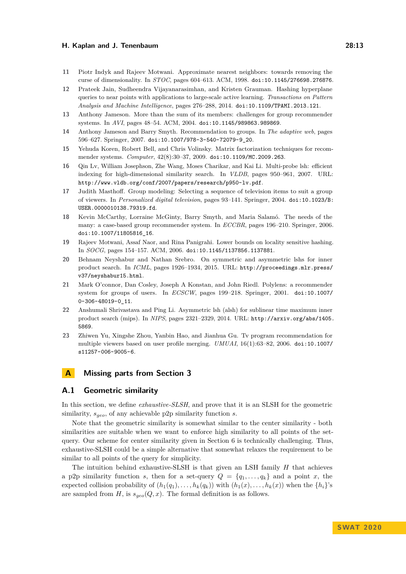- <span id="page-12-0"></span>**11** Piotr Indyk and Rajeev Motwani. Approximate nearest neighbors: towards removing the curse of dimensionality. In *STOC*, pages 604–613. ACM, 1998. [doi:10.1145/276698.276876](https://doi.org/10.1145/276698.276876).
- <span id="page-12-12"></span>**12** Prateek Jain, Sudheendra Vijayanarasimhan, and Kristen Grauman. Hashing hyperplane queries to near points with applications to large-scale active learning. *Transactions on Pattern Analysis and Machine Intelligence*, pages 276–288, 2014. [doi:10.1109/TPAMI.2013.121](https://doi.org/10.1109/TPAMI.2013.121).
- <span id="page-12-10"></span>**13** Anthony Jameson. More than the sum of its members: challenges for group recommender systems. In *AVI*, pages 48–54. ACM, 2004. [doi:10.1145/989863.989869](https://doi.org/10.1145/989863.989869).
- <span id="page-12-6"></span>**14** Anthony Jameson and Barry Smyth. Recommendation to groups. In *The adaptive web*, pages 596–627. Springer, 2007. [doi:10.1007/978-3-540-72079-9\\_20](https://doi.org/10.1007/978-3-540-72079-9_20).
- <span id="page-12-5"></span>**15** Yehuda Koren, Robert Bell, and Chris Volinsky. Matrix factorization techniques for recommender systems. *Computer*, 42(8):30–37, 2009. [doi:10.1109/MC.2009.263](https://doi.org/10.1109/MC.2009.263).
- <span id="page-12-1"></span>**16** Qin Lv, William Josephson, Zhe Wang, Moses Charikar, and Kai Li. Multi-probe lsh: efficient indexing for high-dimensional similarity search. In *VLDB*, pages 950–961, 2007. URL: <http://www.vldb.org/conf/2007/papers/research/p950-lv.pdf>.
- <span id="page-12-7"></span>**17** Judith Masthoff. Group modeling: Selecting a sequence of television items to suit a group of viewers. In *Personalized digital television*, pages 93–141. Springer, 2004. [doi:10.1023/B:](https://doi.org/10.1023/B:USER.0000010138.79319.fd) [USER.0000010138.79319.fd](https://doi.org/10.1023/B:USER.0000010138.79319.fd).
- <span id="page-12-11"></span>**18** Kevin McCarthy, Lorraine McGinty, Barry Smyth, and Maria Salamó. The needs of the many: a case-based group recommender system. In *ECCBR*, pages 196–210. Springer, 2006. [doi:10.1007/11805816\\_16](https://doi.org/10.1007/11805816_16).
- <span id="page-12-4"></span>**19** Rajeev Motwani, Assaf Naor, and Rina Panigrahi. Lower bounds on locality sensitive hashing. In *SOCG*, pages 154–157. ACM, 2006. [doi:10.1145/1137856.1137881](https://doi.org/10.1145/1137856.1137881).
- <span id="page-12-3"></span>**20** Behnam Neyshabur and Nathan Srebro. On symmetric and asymmetric lshs for inner product search. In *ICML*, pages 1926–1934, 2015. URL: [http://proceedings.mlr.press/](http://proceedings.mlr.press/v37/neyshabur15.html) [v37/neyshabur15.html](http://proceedings.mlr.press/v37/neyshabur15.html).
- <span id="page-12-8"></span>**21** Mark O'connor, Dan Cosley, Joseph A Konstan, and John Riedl. Polylens: a recommender system for groups of users. In *ECSCW*, pages 199–218. Springer, 2001. [doi:10.1007/](https://doi.org/10.1007/0-306-48019-0_11) [0-306-48019-0\\_11](https://doi.org/10.1007/0-306-48019-0_11).
- <span id="page-12-2"></span>**22** Anshumali Shrivastava and Ping Li. Asymmetric lsh (alsh) for sublinear time maximum inner product search (mips). In *NIPS*, pages 2321–2329, 2014. URL: [http://arxiv.org/abs/1405.](http://arxiv.org/abs/1405.5869) [5869](http://arxiv.org/abs/1405.5869).
- <span id="page-12-9"></span>**23** Zhiwen Yu, Xingshe Zhou, Yanbin Hao, and Jianhua Gu. Tv program recommendation for multiple viewers based on user profile merging. *UMUAI*, 16(1):63–82, 2006. [doi:10.1007/](https://doi.org/10.1007/s11257-006-9005-6) [s11257-006-9005-6](https://doi.org/10.1007/s11257-006-9005-6).

### <span id="page-12-13"></span>**A Missing parts from Section [3](#page-5-4)**

### **A.1 Geometric similarity**

In this section, we define *exhaustive-SLSH*, and prove that it is an SLSH for the geometric similarity, *sgeo*, of any achievable p2p similarity function *s*.

Note that the geometric similarity is somewhat similar to the center similarity - both similarities are suitable when we want to enforce high similarity to all points of the setquery. Our scheme for center similarity given in Section [6](#page-9-1) is technically challenging. Thus, exhaustive-SLSH could be a simple alternative that somewhat relaxes the requirement to be similar to all points of the query for simplicity.

The intuition behind exhaustive-SLSH is that given an LSH family *H* that achieves a p2p similarity function *s*, then for a set-query  $Q = \{q_1, \ldots, q_k\}$  and a point *x*, the expected collision probability of  $(h_1(q_1), \ldots, h_k(q_k))$  with  $(h_1(x), \ldots, h_k(x))$  when the  $\{h_i\}$ 's are sampled from *H*, is  $s_{geo}(Q, x)$ . The formal definition is as follows.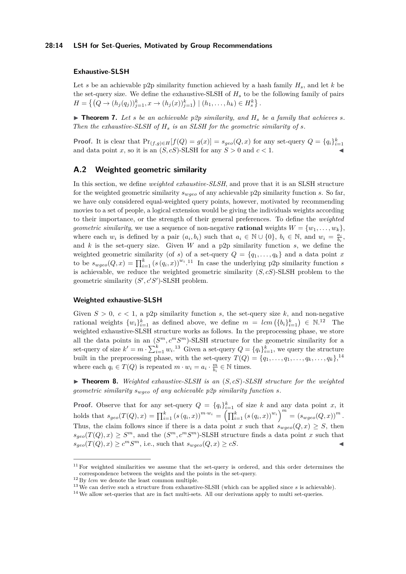### **28:14 LSH for Set-Queries, Motivated by Group Recommendations**

### **Exhaustive-SLSH**

Let *s* be an achievable p2p similarity function achieved by a hash family  $H_s$ , and let  $k$  be the set-query size. We define the exhaustive-SLSH of *H<sup>s</sup>* to be the following family of pairs  $H = \left\{ (Q \to (h_j(q_j))_{j=1}^k, x \to (h_j(x))_{j=1}^k \right) \mid (h_1, \ldots, h_k) \in H_s^k \right\}.$ 

 $\triangleright$  **Theorem 7.** Let *s* be an achievable p2p similarity, and  $H_s$  be a family that achieves *s*. *Then the exhaustive-SLSH of H<sup>s</sup> is an SLSH for the geometric similarity of s.*

**Proof.** It is clear that  $Pr_{(f,g)\in H}[f(Q) = g(x)] = s_{geo}(Q, x)$  for any set-query  $Q = \{q_i\}_{i=1}^k$ and data point *x*, so it is an  $(S, cS)$ -SLSH for any  $S > 0$  and  $c < 1$ .

### <span id="page-13-0"></span>**A.2 Weighted geometric similarity**

In this section, we define *weighted exhaustive-SLSH*, and prove that it is an SLSH structure for the weighted geometric similarity *swgeo* of any achievable p2p similarity function *s*. So far, we have only considered equal-weighted query points, however, motivated by recommending movies to a set of people, a logical extension would be giving the individuals weights according to their importance, or the strength of their general preferences. To define the *weighted geometric similarity*, we use a sequence of non-negative **rational** weights  $W = \{w_1, \ldots, w_k\}$ , where each  $w_i$  is defined by a pair  $(a_i, b_i)$  such that  $a_i \in \mathbb{N} \cup \{0\}$ ,  $b_i \in \mathbb{N}$ , and  $w_i = \frac{a_i}{b_i}$ , and *k* is the set-query size. Given *W* and a p2p similarity function *s*, we define the weighted geometric similarity (of *s*) of a set-query  $Q = \{q_1, \ldots, q_k\}$  and a data point *x* to be  $s_{wgeo}(Q, x) = \prod_{i=1}^{k} (s(q_i, x))^{w_i}$ .<sup>[11](#page-13-1)</sup> In case the underlying p2p similarity function *s* is achievable, we reduce the weighted geometric similarity (*S, cS*)-SLSH problem to the geometric similarity  $(S', c'S')$ -SLSH problem.

#### **Weighted exhaustive-SLSH**

Given  $S > 0$ ,  $c < 1$ , a p2p similarity function *s*, the set-query size *k*, and non-negative rational weights  $\{w_i\}_{i=1}^k$  as defined above, we define  $m = lcm(\{b_i\}_{i=1}^k) \in \mathbb{N}^{12}$  $m = lcm(\{b_i\}_{i=1}^k) \in \mathbb{N}^{12}$  $m = lcm(\{b_i\}_{i=1}^k) \in \mathbb{N}^{12}$  The weighted exhaustive-SLSH structure works as follows. In the preprocessing phase, we store all the data points in an  $(S^m, c^mS^m)$ -SLSH structure for the geometric similarity for a set-query of size  $k' = m \cdot \sum_{i=1}^{k} w_i$ .<sup>[13](#page-13-3)</sup> Given a set-query  $Q = \{q_i\}_{i=1}^{k}$ , we query the structure built in the preprocessing phase, with the set-query  $T(Q) = \{q_1, \ldots, q_1, \ldots, q_k, \ldots, q_k\}$ ,<sup>[14](#page-13-4)</sup> where each  $q_i \in T(Q)$  is repeated  $m \cdot w_i = a_i \cdot \frac{m}{b_i} \in \mathbb{N}$  times.

 $\triangleright$  **Theorem 8.** Weighted exhaustive-SLSH is an  $(S, cS)$ -SLSH structure for the weighted *geometric similarity swgeo of any achievable p2p similarity function s.*

**Proof.** Observe that for any set-query  $Q = \{q_i\}_{i=1}^k$  of size *k* and any data point *x*, it holds that  $s_{geo}(T(Q), x) = \prod_{i=1}^{k} (s(q_i, x))^{m \cdot w_i} = (\prod_{i=1}^{k} (s(q_i, x))^{w_i})^{m \cdot s} = (s_{wgeo}(Q, x))^{m}$ . Thus, the claim follows since if there is a data point *x* such that  $s_{wqeo}(Q, x) \geq S$ , then  $s_{geo}(T(Q), x) \geq S^m$ , and the  $(S^m, c^m S^m)$ -SLSH structure finds a data point *x* such that  $s_{geo}(T(Q), x) \ge c^m S^m$ , i.e., such that  $s_{wgeo}(Q, x) \ge cS$ .

<span id="page-13-1"></span> $11$  For weighted similarities we assume that the set-query is ordered, and this order determines the correspondence between the weights and the points in the set-query.

<span id="page-13-2"></span> $^{12}\,\mathrm{Bv}$   $lcm$  we denote the least common multiple.

<span id="page-13-3"></span><sup>13</sup>We can derive such a structure from exhaustive-SLSH (which can be applied since *s* is achievable).

<span id="page-13-4"></span><sup>&</sup>lt;sup>14</sup> We allow set-queries that are in fact multi-sets. All our derivations apply to multi set-queries.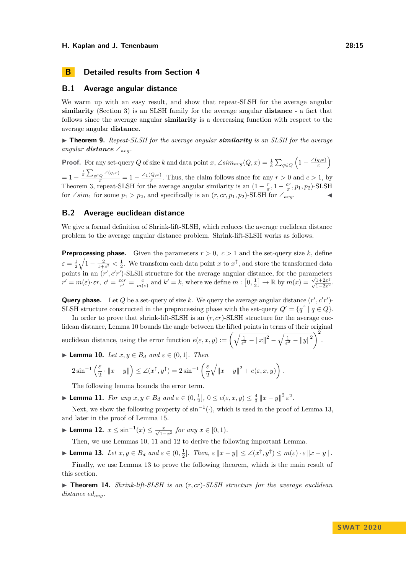### **B Detailed results from Section [4](#page-6-2)**

### <span id="page-14-0"></span>**B.1 Average angular distance**

We warm up with an easy result, and show that repeat-SLSH for the average angular **similarity** (Section [3\)](#page-5-4) is an SLSH family for the average angular **distance** - a fact that follows since the average angular **similarity** is a decreasing function with respect to the average angular **distance**.

▶ **Theorem 9.** Repeat-SLSH for the average angular *similarity* is an SLSH for the average *angular* **distance**  $\angle_{avg}$ .

**Proof.** For any set-query *Q* of size *k* and data point *x*, ∠*sim<sub>avg</sub>*(*Q*, *x*) =  $\frac{1}{k} \sum_{q \in Q} \left(1 - \frac{\angle(q, x)}{\pi}\right)$  $\left(\frac{q,x)}{\pi}\right)$  $= 1 - \frac{\frac{1}{k} \sum_{q \in Q} \angle(q, x)}{\pi} = 1 - \frac{\angle_1(Q, x)}{\pi}$ . Thus, the claim follows since for any  $r > 0$  and  $c > 1$ , by Theorem [3,](#page-5-3) repeat-SLSH for the average angular similarity is an  $(1 - \frac{r}{\pi}, 1 - \frac{cr}{\pi}, p_1, p_2)$ -SLSH for ∠*sim*<sub>1</sub> for some  $p_1 > p_2$ , and specifically is an  $(r, cr, p_1, p_2)$ -SLSH for ∠<sub>*avg*</sub>.

### <span id="page-14-1"></span>**B.2 Average euclidean distance**

We give a formal definition of Shrink-lift-SLSH, which reduces the average euclidean distance problem to the average angular distance problem. Shrink-lift-SLSH works as follows.

**Preprocessing phase.** Given the parameters  $r > 0$ ,  $c > 1$  and the set-query size k, define  $\varepsilon = \frac{1}{2}\sqrt{1-\frac{2}{1+c^2}} < \frac{1}{2}$ . We transform each data point *x* to  $x^{\uparrow}$ , and store the transformed data points in an  $(r', c'r')$ -SLSH structure for the average angular distance, for the parameters  $r' = m(\varepsilon) \cdot \varepsilon r$ ,  $c' = \frac{\varepsilon cr}{r'} = \frac{c}{m(\varepsilon)}$  and  $k' = k$ , where we define  $m : [0, \frac{1}{2}] \to \mathbb{R}$  by  $m(x) = \frac{\sqrt{1+2x^2}}{\sqrt{1-2x^2}}$ .

**Query phase.** Let Q be a set-query of size k. We query the average angular distance  $(r', c'r')$ -SLSH structure constructed in the preprocessing phase with the set-query  $Q' = \{q^{\uparrow} \mid q \in Q\}.$ 

In order to prove that shrink-lift-SLSH is an  $(r, cr)$ -SLSH structure for the average euclidean distance, Lemma [10](#page-14-2) bounds the angle between the lifted points in terms of their original euclidean distance, using the error function  $e(\varepsilon, x, y) := \left(\sqrt{\frac{1}{\varepsilon^2} - ||x||^2} - \sqrt{\frac{1}{\varepsilon^2} - ||y||^2}\right)^2$ .

<span id="page-14-2"></span>▶ **Lemma 10.** *Let*  $x, y \in B_d$  *and*  $\varepsilon \in (0, 1]$ *. Then* 

$$
2\sin^{-1}\left(\frac{\varepsilon}{2}\cdot\|x-y\|\right)\leq\angle(x^{\uparrow},y^{\uparrow})=2\sin^{-1}\left(\frac{\varepsilon}{2}\sqrt{\|x-y\|^2+e(\varepsilon,x,y)}\right).
$$

The following lemma bounds the error term.

<span id="page-14-4"></span>► **Lemma 11.** *For any*  $x, y \in B_d$  *and*  $\varepsilon \in (0, \frac{1}{2}], 0 \le e(\varepsilon, x, y) \le \frac{4}{3} ||x - y||^2 \varepsilon^2$ .

Next, we show the following property of  $\sin^{-1}(\cdot)$ , which is used in the proof of Lemma [13,](#page-14-3) and later in the proof of Lemma [15.](#page-16-0)

<span id="page-14-5"></span>► Lemma 12.  $x \le \sin^{-1}(x) \le \frac{x}{\sqrt{1-x^2}}$  for any  $x \in [0,1)$ *.* 

Then, we use Lemmas [10,](#page-14-2) [11](#page-14-4) and [12](#page-14-5) to derive the following important Lemma.

<span id="page-14-3"></span>► Lemma 13. Let  $x, y \in B_d$  and  $\varepsilon \in (0, \frac{1}{2}]$ . Then,  $\varepsilon ||x - y|| \leq \angle(x^{\uparrow}, y^{\uparrow}) \leq m(\varepsilon) \cdot \varepsilon ||x - y||$ .

Finally, we use Lemma [13](#page-14-3) to prove the following theorem, which is the main result of this section.

I **Theorem 14.** *Shrink-lift-SLSH is an* (*r, cr*)*-SLSH structure for the average euclidean distance edavg.*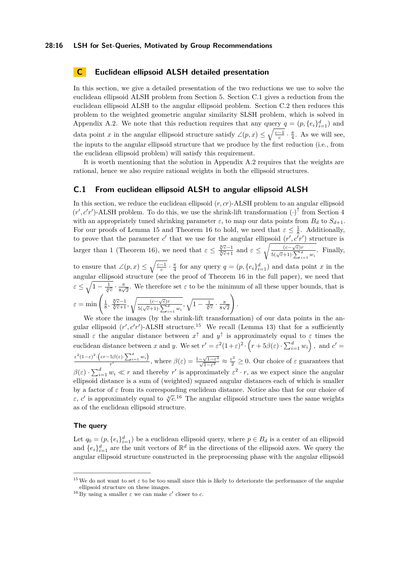### **28:16 LSH for Set-Queries, Motivated by Group Recommendations**

### <span id="page-15-0"></span>**C Euclidean ellipsoid ALSH detailed presentation**

In this section, we give a detailed presentation of the two reductions we use to solve the euclidean ellipsoid ALSH problem from Section [5.](#page-7-1) Section [C.1](#page-15-1) gives a reduction from the euclidean ellipsoid ALSH to the angular ellipsoid problem. Section [C.2](#page-16-1) then reduces this problem to the weighted geometric angular similarity SLSH problem, which is solved in Appendix [A.2.](#page-13-0) We note that this reduction requires that any query  $q = (p, \{e_i\}_{i=1}^d)$  and data point *x* in the angular ellipsoid structure satisfy  $\angle(p, x) \leq \sqrt{\frac{c-1}{c}} \cdot \frac{\pi}{4}$ . As we will see, the inputs to the angular ellipsoid structure that we produce by the first reduction (i.e., from the euclidean ellipsoid problem) will satisfy this requirement.

It is worth mentioning that the solution in Appendix [A.2](#page-13-0) requires that the weights are rational, hence we also require rational weights in both the ellipsoid structures.

### <span id="page-15-1"></span>**C.1 From euclidean ellipsoid ALSH to angular ellipsoid ALSH**

In this section, we reduce the euclidean ellipsoid (*r, cr*)-ALSH problem to an angular ellipsoid  $(r', c'r')$ -ALSH problem. To do this, we use the shrink-lift transformation  $(\cdot)$ <sup>†</sup> from Section [4](#page-6-2) with an appropriately tuned shrinking parameter  $\varepsilon$ , to map our data points from  $B_d$  to  $S_{d+1}$ . For our proofs of Lemma [15](#page-16-0) and Theorem [16](#page-16-2) to hold, we need that  $\varepsilon \leq \frac{1}{8}$ . Additionally, to prove that the parameter *c*' that we use for the angular ellipsoid  $(r', c'r')$  structure is larger than 1 (Theorem [16\)](#page-16-2), we need that  $\varepsilon \le \frac{\sqrt[8]{c-1}}{\sqrt[8]{c+1}}$  and  $\varepsilon \le \sqrt{\frac{(c-\sqrt{c})r}{5(\sqrt{c}+1)\cdot\sum_{i=1}^d w_i}}$ . Finally, to ensure that  $\angle(p,x) \leq \sqrt{\frac{c-1}{c}} \cdot \frac{\pi}{4}$  for any query  $q = (p, \{e_i\}_{i=1}^d)$  and data point *x* in the angular ellipsoid structure (see the proof of Theorem [16](#page-16-2) in the full paper), we need that  $\varepsilon \leq \sqrt{1 - \frac{1}{\sqrt[4]{c}}} \cdot \frac{\pi}{8\sqrt{c}}$  $\frac{\pi}{8\sqrt{2}}$ . We therefore set  $\varepsilon$  to be the minimum of all these upper bounds, that is  $\varepsilon = \min\left(\frac{1}{8}, \frac{\sqrt[8]{c}-1}{\sqrt[8]{c}+1}, \sqrt{\frac{(c-\sqrt{c})r}{5(\sqrt{c}+1) \cdot \sum_{i=1}^{d} w_i}}, \sqrt{1-\frac{1}{\sqrt[4]{c}}}\cdot \frac{\pi}{8 \sqrt{c}}\right)$  $rac{\pi}{8\sqrt{2}}$  $\setminus$ *.*

We store the images (by the shrink-lift transformation) of our data points in the angular ellipsoid  $(r', c'r')$ -ALSH structure.<sup>[15](#page-15-2)</sup> We recall (Lemma [13\)](#page-14-3) that for a sufficiently small  $\varepsilon$  the angular distance between  $x^{\uparrow}$  and  $y^{\uparrow}$  is approximately equal to  $\varepsilon$  times the euclidean distance between *x* and *y*. We set  $r' = \varepsilon^2 (1+\varepsilon)^2 \cdot (r + 5\beta(\varepsilon) \cdot \sum_{i=1}^d w_i)$ , and  $c' =$  $\varepsilon^2 (1-\varepsilon)^2 \cdot \left( cr - 5\beta(\varepsilon) \cdot \sum_{i=1}^d w_i \right)$  $\frac{5\beta(\varepsilon)\cdot\sum_{i=1}^dw_i}{r'}$ , where  $\beta(\varepsilon)=\frac{1-\sqrt{1-\varepsilon^2}}{\sqrt{1-\varepsilon^2}}\approx \frac{\varepsilon^2}{2}\geq 0$ . Our choice of  $\varepsilon$  guarantees that  $\beta(\varepsilon) \cdot \sum_{i=1}^d w_i \ll r$  and thereby *r'* is approximately  $\varepsilon^2 \cdot r$ , as we expect since the angular ellipsoid distance is a sum of (weighted) squared angular distances each of which is smaller by a factor of *ε* from its corresponding euclidean distance. Notice also that for our choice of *ε*, *c*' is approximately equal to  $\sqrt[n]{c}$ .<sup>[16](#page-15-3)</sup> The angular ellipsoid structure uses the same weights as of the euclidean ellipsoid structure.

### **The query**

Let  $q_0 = (p, \{e_i\}_{i=1}^d)$  be a euclidean ellipsoid query, where  $p \in B_d$  is a center of an ellipsoid and  $\{e_i\}_{i=1}^d$  are the unit vectors of  $\mathbb{R}^d$  in the directions of the ellipsoid axes. We query the angular ellipsoid structure constructed in the preprocessing phase with the angular ellipsoid

<span id="page-15-2"></span><sup>&</sup>lt;sup>15</sup>We do not want to set  $\varepsilon$  to be too small since this is likely to deteriorate the performance of the angular ellipsoid structure on these images.

<span id="page-15-3"></span><sup>&</sup>lt;sup>16</sup> By using a smaller  $\varepsilon$  we can make  $c'$  closer to  $c$ .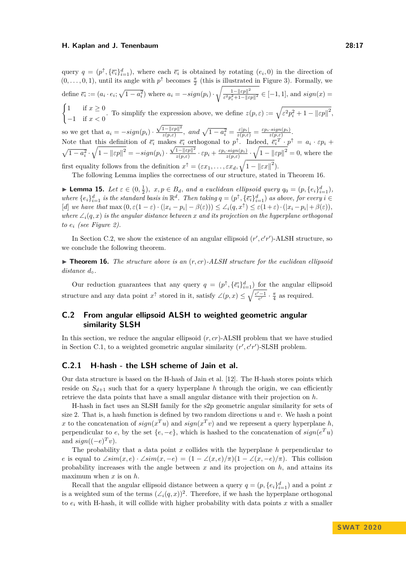query  $q = (p^{\uparrow}, {\bar{\epsilon}_i}_{i=1}^d)$ , where each  $\bar{\epsilon}_i$  is obtained by rotating  $(e_i, 0)$  in the direction of  $(0, \ldots, 0, 1)$ , until its angle with  $p^{\uparrow}$  becomes  $\frac{\pi}{2}$  (this is illustrated in Figure [3\)](#page-8-1). Formally, we define  $\overline{e_i} := (a_i \cdot e_i; \sqrt{1-a_i^2})$  where  $a_i = -sign(p_i) \cdot \sqrt{\frac{1 - ||\varepsilon p||^2}{\varepsilon^2 p_i^2 + 1 - ||\varepsilon|}}$  $\frac{1 - ||\varepsilon p||^2}{\varepsilon^2 p_i^2 + 1 - ||\varepsilon p||^2} \in [-1, 1],$  and  $sign(x) =$  $\int 1$  if  $x \geq 0$ −1 if *x <* 0 . To simplify the expression above, we define  $z(p, \varepsilon) := \sqrt{\varepsilon^2 p_i^2 + 1 - ||\varepsilon p||^2}$ , so we get that  $a_i = -sign(p_i)$ .  $\sqrt{1-\|\varepsilon p\|^2}$  $\frac{1 - ||\varepsilon p||^2}{z(p, \varepsilon)}$ , and  $\sqrt{1 - a_i^2} = \frac{\varepsilon |p_i|}{z(p, \varepsilon)} = \frac{\varepsilon p_i \cdot sign(p_i)}{z(p, \varepsilon)}$ . Note that this definition of  $\overline{e_i}$  makes  $\overline{e_i}$  orthogonal to  $p^{\uparrow}$ . Indeed,  $\overline{e_i}^T \cdot p^{\uparrow} = a_i \cdot \varepsilon p_i +$  $\sqrt{1 - a_i^2} \cdot \sqrt{1 - ||\varepsilon p||^2} = -sign(p_i)$  $\frac{\cos e_i}{\sqrt{1-\|\varepsilon p\|^2}}$  $\frac{1-\|\varepsilon p\|^2}{z(p,\varepsilon)}\cdot\varepsilon p_i + \frac{\varepsilon p_i\cdot sign(p_i)}{z(p,\varepsilon)}\cdot\sqrt{1-\|\varepsilon p\|^2} = 0$ , where the

first equality follows from the definition  $x^{\uparrow} = (\varepsilon x_1, \dots, \varepsilon x_d, \sqrt{1 - ||\varepsilon x||^2})$ .

The following Lemma implies the correctness of our structure, stated in Theorem [16.](#page-16-2)

<span id="page-16-0"></span>► **Lemma 15.** Let  $\varepsilon \in (0, \frac{1}{2})$ ,  $x, p \in B_d$ , and a euclidean ellipsoid query  $q_0 = (p, \{e_i\}_{i=1}^d)$ , where  $\{e_i\}_{i=1}^d$  is the standard basis in  $\mathbb{R}^d$ . Then taking  $q=(p^{\uparrow}, \{\overline{e_i}\}_{i=1}^d)$  as above, for every  $i \in$ [d] we have that  $\max (0, \varepsilon(1-\varepsilon) \cdot (|x_i - p_i| - \beta(\varepsilon))) \le \angle_i (q, x^{\uparrow}) \le \varepsilon(1+\varepsilon) \cdot (|x_i - p_i| + \beta(\varepsilon)),$ *where*  $\angle_i(q, x)$  *is the angular distance between x and its projection on the hyperplane orthogonal*  $to e_i$  (see Figure [2\)](#page-7-0).

In Section [C.2,](#page-16-1) we show the existence of an angular ellipsoid  $(r', c'r')$ -ALSH structure, so we conclude the following theorem.

<span id="page-16-2"></span> $\triangleright$  **Theorem 16.** *The structure above is an*  $(r, cr)$ -ALSH *structure for the euclidean ellipsoid distance*  $d_{\circ}$ *.* 

Our reduction guarantees that any query  $q = (p^{\uparrow}, {\{\overline{e_i}\}}_{i=1}^d)$  for the angular ellipsoid structure and any data point  $x^{\uparrow}$  stored in it, satisfy  $\angle(p, x) \leq \sqrt{\frac{c'-1}{c'}} \cdot \frac{\pi}{4}$  as required.

### <span id="page-16-1"></span>**C.2 From angular ellipsoid ALSH to weighted geometric angular similarity SLSH**

In this section, we reduce the angular ellipsoid (*r, cr*)-ALSH problem that we have studied in Section [C.1,](#page-15-1) to a weighted geometric angular similarity  $(r', c'r')$ -SLSH problem.

### **C.2.1 H-hash - the LSH scheme of Jain et al.**

Our data structure is based on the H-hash of Jain et al. [\[12\]](#page-12-12). The H-hash stores points which reside on  $S_{d+1}$  such that for a query hyperplane h through the origin, we can efficiently retrieve the data points that have a small angular distance with their projection on *h*.

H-hash in fact uses an SLSH family for the s2p geometric angular similarity for sets of size 2. That is, a hash function is defined by two random directions *u* and *v*. We hash a point x to the concatenation of  $sign(x^T u)$  and  $sign(x^T v)$  and we represent a query hyperplane h, perpendicular to *e*, by the set  $\{e, -e\}$ , which is hashed to the concatenation of  $sign(e^T u)$ and  $sign((-e)^T v)$ .

The probability that a data point *x* collides with the hyperplane *h* perpendicular to *e* is equal to  $\angle sim(x, e) \cdot \angle sim(x, -e) = (1 - \angle(x, e)/\pi)(1 - \angle(x, -e)/\pi)$ . This collision probability increases with the angle between *x* and its projection on *h*, and attains its maximum when *x* is on *h*.

Recall that the angular ellipsoid distance between a query  $q = (p, \{e_i\}_{i=1}^d)$  and a point *x* is a weighted sum of the terms  $(\angle_i(q, x))^2$ . Therefore, if we hash the hyperplane orthogonal to *e<sup>i</sup>* with H-hash, it will collide with higher probability with data points *x* with a smaller